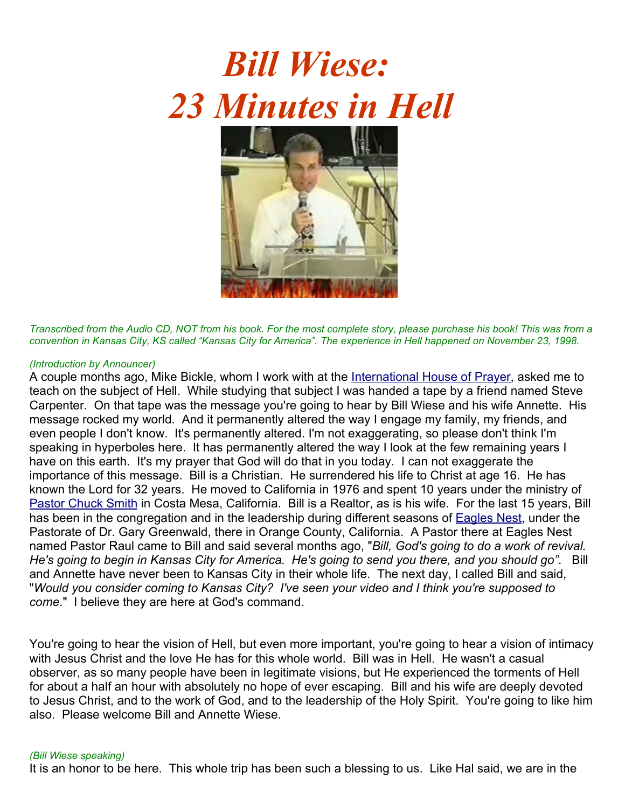



Transcribed from the Audio CD, NOT from his book. For the most complete story, please purchase his book! This was from a convention in Kansas City, KS called "Kansas City for America". The experience in Hell happened on November 23, 1998.

### *(Introduction by Announcer)*

A couple months ago, Mike Bickle, whom I work with at the [International](http://www.fotb.com/) House of Prayer, asked me to teach on the subject of Hell. While studying that subject I was handed a tape by a friend named Steve Carpenter. On that tape was the message you're going to hear by Bill Wiese and his wife Annette. His message rocked my world. And it permanently altered the way I engage my family, my friends, and even people I don't know. It's permanently altered. I'm not exaggerating, so please don't think I'm speaking in hyperboles here. It has permanently altered the way I look at the few remaining years I have on this earth. It's my prayer that God will do that in you today. I can not exaggerate the importance of this message. Bill is a Christian. He surrendered his life to Christ at age 16. He has known the Lord for 32 years. He moved to California in 1976 and spent 10 years under the ministry of [Pastor Chuck Smith](http://www.twft.com/) in Costa Mesa, California. Bill is a Realtor, as is his wife. For the last 15 years, Bill has been in the congregation and in the leadership during different seasons of **[Eagles Nest](http://www.eaglesnestministries.org/home.htm)**, under the Pastorate of Dr. Gary Greenwald, there in Orange County, California. A Pastor there at Eagles Nest named Pastor Raul came to Bill and said several months ago, "*Bill, God's going to do a work of revival. He's going to begin in Kansas City for America. He's going to send you there, and you should go"*. Bill and Annette have never been to Kansas City in their whole life. The next day, I called Bill and said, "*Would you consider coming to Kansas City? I've seen your video and I think you're supposed to come*." I believe they are here at God's command.

You're going to hear the vision of Hell, but even more important, you're going to hear a vision of intimacy with Jesus Christ and the love He has for this whole world. Bill was in Hell. He wasn't a casual observer, as so many people have been in legitimate visions, but He experienced the torments of Hell for about a half an hour with absolutely no hope of ever escaping. Bill and his wife are deeply devoted to Jesus Christ, and to the work of God, and to the leadership of the Holy Spirit. You're going to like him also. Please welcome Bill and Annette Wiese.

#### *(Bill Wiese speaking)*

It is an honor to be here. This whole trip has been such a blessing to us. Like Hal said, we are in the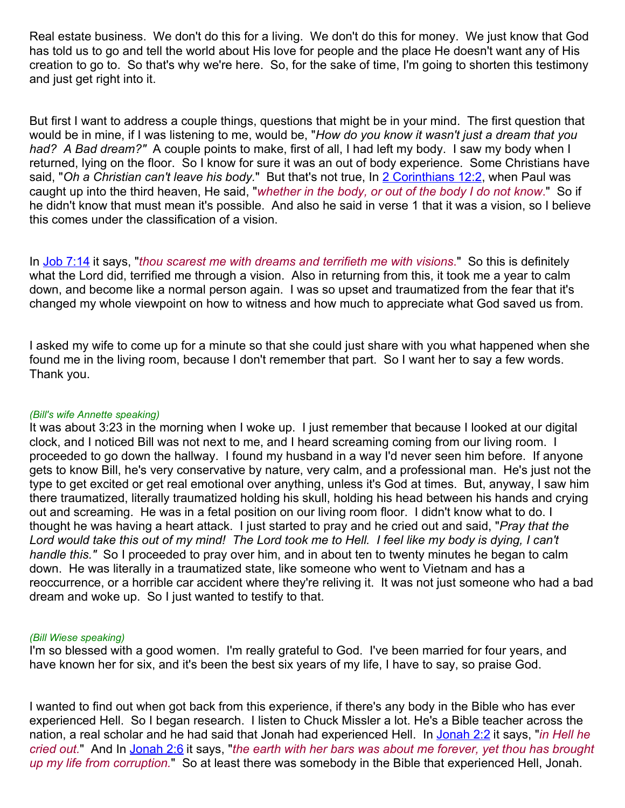Real estate business. We don't do this for a living. We don't do this for money. We just know that God has told us to go and tell the world about His love for people and the place He doesn't want any of His creation to go to. So that's why we're here. So, for the sake of time, I'm going to shorten this testimony and just get right into it.

But first I want to address a couple things, questions that might be in your mind. The first question that would be in mine, if I was listening to me, would be, "*How do you know it wasn't just a dream that you had? A Bad dream?"* A couple points to make, first of all, I had left my body. I saw my body when I returned, lying on the floor. So I know for sure it was an out of body experience. Some Christians have said, "*Oh a Christian can't leave his body.*" But that's not true, In 2 [Corinthians 12:2](http://www.biblegateway.com/passage/?search=2 Corinthians 12:2;&version=50;), when Paul was caught up into the third heaven, He said, "*whether in the body, or out of the body I do not know*." So if he didn't know that must mean it's possible. And also he said in verse 1 that it was a vision, so I believe this comes under the classification of a vision.

In Job [7:14](http://www.biblegateway.com/passage/?search=Job 7:14;&version=50;) it says, "*thou scarest me with dreams and terrifieth me with visions*." So this is definitely what the Lord did, terrified me through a vision. Also in returning from this, it took me a year to calm down, and become like a normal person again. I was so upset and traumatized from the fear that it's changed my whole viewpoint on how to witness and how much to appreciate what God saved us from.

I asked my wife to come up for a minute so that she could just share with you what happened when she found me in the living room, because I don't remember that part. So I want her to say a few words. Thank you.

### *(Bill's wife Annette speaking)*

It was about 3:23 in the morning when I woke up. I just remember that because I looked at our digital clock, and I noticed Bill was not next to me, and I heard screaming coming from our living room. I proceeded to go down the hallway. I found my husband in a way I'd never seen him before. If anyone gets to know Bill, he's very conservative by nature, very calm, and a professional man. He's just not the type to get excited or get real emotional over anything, unless it's God at times. But, anyway, I saw him there traumatized, literally traumatized holding his skull, holding his head between his hands and crying out and screaming. He was in a fetal position on our living room floor. I didn't know what to do. I thought he was having a heart attack. I just started to pray and he cried out and said, "*Pray that the Lord would take this out of my mind! The Lord took me to Hell. I feel like my body is dying, I can't handle this."* So I proceeded to pray over him, and in about ten to twenty minutes he began to calm down. He was literally in a traumatized state, like someone who went to Vietnam and has a reoccurrence, or a horrible car accident where they're reliving it. It was not just someone who had a bad dream and woke up. So I just wanted to testify to that.

#### *(Bill Wiese speaking)*

I'm so blessed with a good women. I'm really grateful to God. I've been married for four years, and have known her for six, and it's been the best six years of my life, I have to say, so praise God.

I wanted to find out when got back from this experience, if there's any body in the Bible who has ever experienced Hell. So I began research. I listen to Chuck Missler a lot. He's a Bible teacher across the nation, a real scholar and he had said that Jonah had experienced Hell. In [Jonah](http://www.biblegateway.com/passage/?search=Jonah 2:2;&version=50;) 2:2 it says, "*in Hell he cried out.*" And In [Jonah](http://www.biblegateway.com/passage/?search=Jonah 2:6;&version=50;) 2:6 it says, "*the earth with her bars was about me forever, yet thou has brought up my life from corruption.*" So at least there was somebody in the Bible that experienced Hell, Jonah.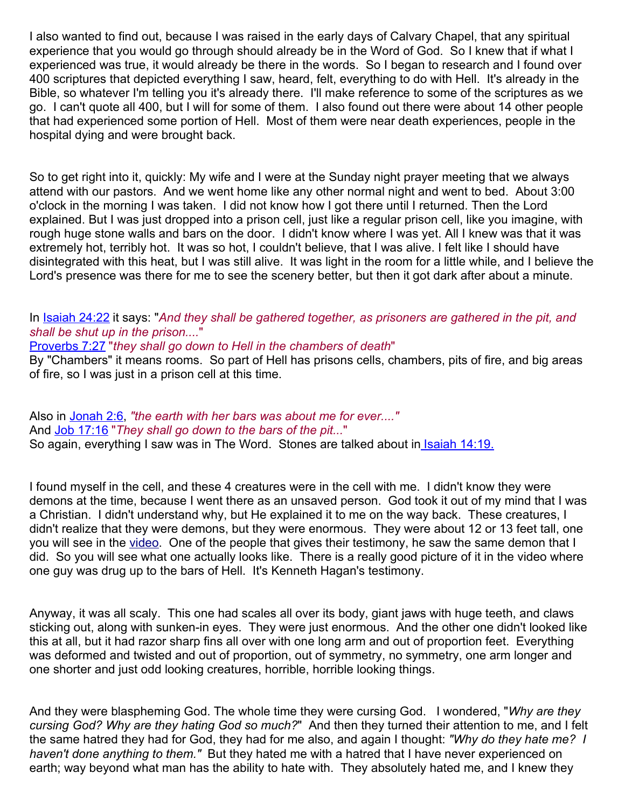I also wanted to find out, because I was raised in the early days of Calvary Chapel, that any spiritual experience that you would go through should already be in the Word of God. So I knew that if what I experienced was true, it would already be there in the words. So I began to research and I found over 400 scriptures that depicted everything I saw, heard, felt, everything to do with Hell. It's already in the Bible, so whatever I'm telling you it's already there. I'll make reference to some of the scriptures as we go. I can't quote all 400, but I will for some of them. I also found out there were about 14 other people that had experienced some portion of Hell. Most of them were near death experiences, people in the hospital dying and were brought back.

So to get right into it, quickly: My wife and I were at the Sunday night prayer meeting that we always attend with our pastors. And we went home like any other normal night and went to bed. About 3:00 o'clock in the morning I was taken. I did not know how I got there until I returned. Then the Lord explained. But I was just dropped into a prison cell, just like a regular prison cell, like you imagine, with rough huge stone walls and bars on the door. I didn't know where I was yet. All I knew was that it was extremely hot, terribly hot. It was so hot, I couldn't believe, that I was alive. I felt like I should have disintegrated with this heat, but I was still alive. It was light in the room for a little while, and I believe the Lord's presence was there for me to see the scenery better, but then it got dark after about a minute.

In [Isaiah](http://www.biblegateway.com/passage/?search=Isaiah 24:22;&version=50;) 24:22 it says: "*And they shall be gathered together, as prisoners are gathered in the pit, and shall be shut up in the prison....*"

[Proverbs 7:27](http://www.biblegateway.com/passage/?search=Proverbs 7:27;&version=50;) "*they shall go down to Hell in the chambers of death*"

By "Chambers" it means rooms. So part of Hell has prisons cells, chambers, pits of fire, and big areas of fire, so I was just in a prison cell at this time.

Also in [Jonah](http://www.biblegateway.com/passage/?search=Jonah 2:6;&version=50;) 2:6, *"the earth with her bars was about me for ever...."* And Job [17:16](http://www.biblegateway.com/passage/?search=Job 17:16;&version=50;) "*They shall go down to the bars of the pit...*" So again, everything I saw was in The Word. Stones are talked about in Isaiah [14:19.](http://www.biblegateway.com/passage/?search= Isaiah 14:19;&version=50;)

I found myself in the cell, and these 4 creatures were in the cell with me. I didn't know they were demons at the time, because I went there as an unsaved person. God took it out of my mind that I was a Christian. I didn't understand why, but He explained it to me on the way back. These creatures, I didn't realize that they were demons, but they were enormous. They were about 12 or 13 feet tall, one you will see in the [video.](http://video.google.com/videoplay?docid=8149875636555097567&q=rawlings) One of the people that gives their testimony, he saw the same demon that I did. So you will see what one actually looks like. There is a really good picture of it in the video where one guy was drug up to the bars of Hell. It's Kenneth Hagan's testimony.

Anyway, it was all scaly. This one had scales all over its body, giant jaws with huge teeth, and claws sticking out, along with sunken-in eyes. They were just enormous. And the other one didn't looked like this at all, but it had razor sharp fins all over with one long arm and out of proportion feet. Everything was deformed and twisted and out of proportion, out of symmetry, no symmetry, one arm longer and one shorter and just odd looking creatures, horrible, horrible looking things.

And they were blaspheming God. The whole time they were cursing God. I wondered, "*Why are they cursing God? Why are they hating God so much?*" And then they turned their attention to me, and I felt the same hatred they had for God, they had for me also, and again I thought: *"Why do they hate me? I haven't done anything to them."* But they hated me with a hatred that I have never experienced on earth; way beyond what man has the ability to hate with. They absolutely hated me, and I knew they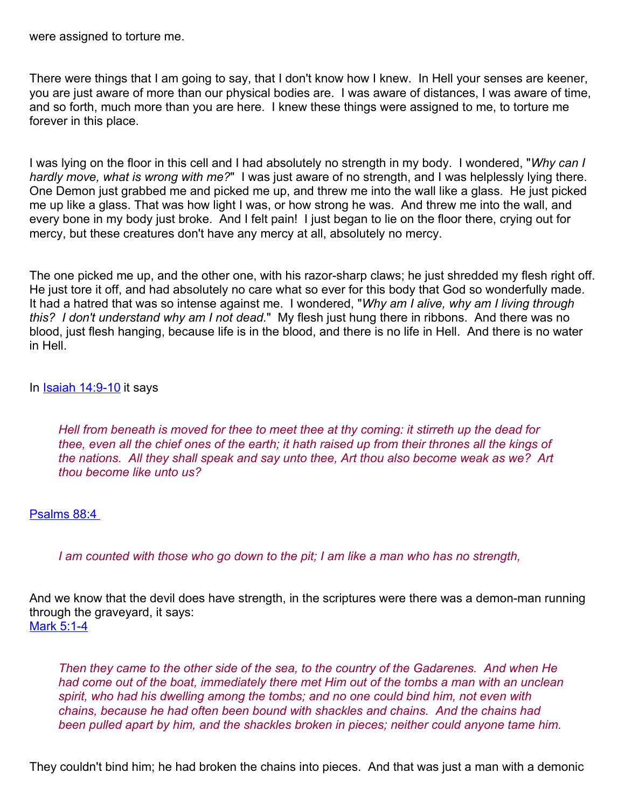were assigned to torture me.

There were things that I am going to say, that I don't know how I knew. In Hell your senses are keener, you are just aware of more than our physical bodies are. I was aware of distances, I was aware of time, and so forth, much more than you are here. I knew these things were assigned to me, to torture me forever in this place.

I was lying on the floor in this cell and I had absolutely no strength in my body. I wondered, "*Why can I hardly move, what is wrong with me?*" I was just aware of no strength, and I was helplessly lying there. One Demon just grabbed me and picked me up, and threw me into the wall like a glass. He just picked me up like a glass. That was how light I was, or how strong he was. And threw me into the wall, and every bone in my body just broke. And I felt pain! I just began to lie on the floor there, crying out for mercy, but these creatures don't have any mercy at all, absolutely no mercy.

The one picked me up, and the other one, with his razor-sharp claws; he just shredded my flesh right off. He just tore it off, and had absolutely no care what so ever for this body that God so wonderfully made. It had a hatred that was so intense against me. I wondered, "*Why am I alive, why am I living through this? I don't understand why am I not dead.*" My flesh just hung there in ribbons. And there was no blood, just flesh hanging, because life is in the blood, and there is no life in Hell. And there is no water in Hell.

## In Isaiah [14:9-10](http://www.biblegateway.com/passage/?search=Isaiah 14:9-10;&version=50;) it says

*Hell from beneath is moved for thee to meet thee at thy coming: it stirreth up the dead for thee, even all the chief ones of the earth; it hath raised up from their thrones all the kings of the nations. All they shall speak and say unto thee, Art thou also become weak as we? Art thou become like unto us?*

# [Psalms 88:4](http://www.biblegateway.com/passage/?search=Psalms 88:4 ;&version=50;)

*I am counted with those who go down to the pit; I am like a man who has no strength,*

And we know that the devil does have strength, in the scriptures were there was a demon-man running through the graveyard, it says: [Mark 5:1-4](http://www.biblegateway.com/passage/?search=Mark 5:1-4;&version=50;)

*Then they came to the other side of the sea, to the country of the Gadarenes. And when He had come out of the boat, immediately there met Him out of the tombs a man with an unclean spirit, who had his dwelling among the tombs; and no one could bind him, not even with chains, because he had often been bound with shackles and chains. And the chains had been pulled apart by him, and the shackles broken in pieces; neither could anyone tame him.*

They couldn't bind him; he had broken the chains into pieces. And that was just a man with a demonic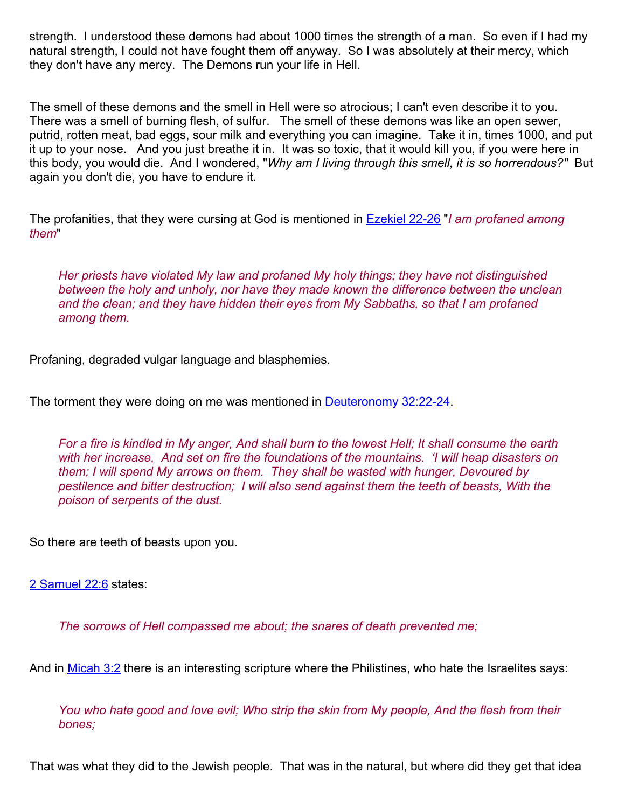strength. I understood these demons had about 1000 times the strength of a man. So even if I had my natural strength, I could not have fought them off anyway. So I was absolutely at their mercy, which they don't have any mercy. The Demons run your life in Hell.

The smell of these demons and the smell in Hell were so atrocious; I can't even describe it to you. There was a smell of burning flesh, of sulfur. The smell of these demons was like an open sewer, putrid, rotten meat, bad eggs, sour milk and everything you can imagine. Take it in, times 1000, and put it up to your nose. And you just breathe it in. It was so toxic, that it would kill you, if you were here in this body, you would die. And I wondered, "*Why am I living through this smell, it is so horrendous?"* But again you don't die, you have to endure it.

The profanities, that they were cursing at God is mentioned in [Ezekiel](http://www.biblegateway.com/passage/?search=Ezekiel 22:26;&version=50;) 22-26 "*I am profaned among them*"

*Her priests have violated My law and profaned My holy things; they have not distinguished between the holy and unholy, nor have they made known the difference between the unclean and the clean; and they have hidden their eyes from My Sabbaths, so that I am profaned among them.*

Profaning, degraded vulgar language and blasphemies.

The torment they were doing on me was mentioned in **[Deuteronomy 32:22-24](http://www.biblegateway.com/passage/?search=Deuteronomy 32:22-24;&version=50;)**.

*For a fire is kindled in My anger, And shall burn to the lowest Hell; It shall consume the earth with her increase, And set on fire the foundations of the mountains. 'I will heap disasters on them; I will spend My arrows on them. They shall be wasted with hunger, Devoured by pestilence and bitter destruction; I will also send against them the teeth of beasts, With the poison of serpents of the dust.*

So there are teeth of beasts upon you.

2 [Samuel](http://www.biblegateway.com/passage/?search=2 Samuel 22:6;&version=50;) 22:6 states:

*The sorrows of Hell compassed me about; the snares of death prevented me;*

And in [Micah](http://www.biblegateway.com/passage/?search=Micah 3:2;&version=50;) 3:2 there is an interesting scripture where the Philistines, who hate the Israelites says:

*You who hate good and love evil; Who strip the skin from My people, And the flesh from their bones;*

That was what they did to the Jewish people. That was in the natural, but where did they get that idea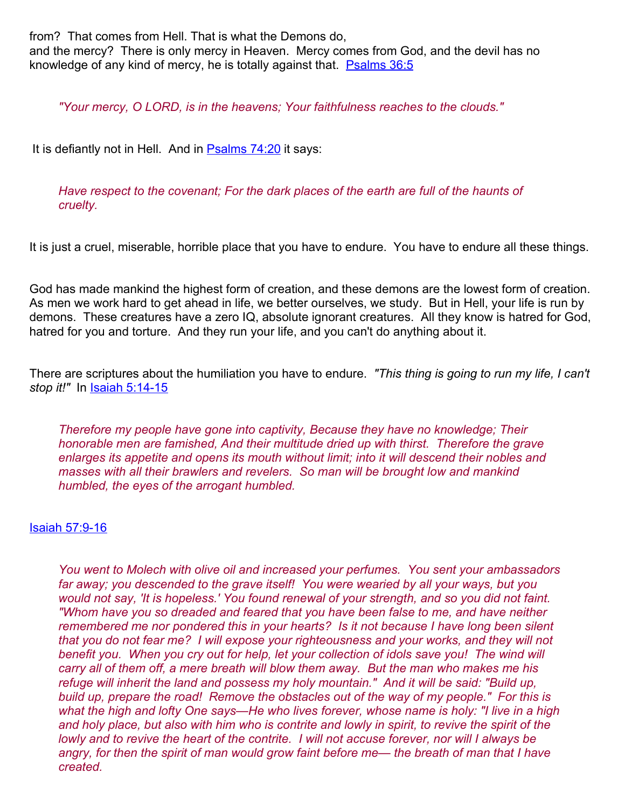from? That comes from Hell. That is what the Demons do, and the mercy? There is only mercy in Heaven. Mercy comes from God, and the devil has no knowledge of any kind of mercy, he is totally against that. [Psalms 36:5](http://www.biblegateway.com/passage/?search=Psalms 36:5;&version=50;)

*"Your mercy, O LORD, is in the heavens; Your faithfulness reaches to the clouds."*

It is defiantly not in Hell. And in  $P<sub>s</sub>$  alms 74:20 it says:

*Have respect to the covenant; For the dark places of the earth are full of the haunts of cruelty.*

It is just a cruel, miserable, horrible place that you have to endure. You have to endure all these things.

God has made mankind the highest form of creation, and these demons are the lowest form of creation. As men we work hard to get ahead in life, we better ourselves, we study. But in Hell, your life is run by demons. These creatures have a zero IQ, absolute ignorant creatures. All they know is hatred for God, hatred for you and torture. And they run your life, and you can't do anything about it.

There are scriptures about the humiliation you have to endure. *"This thing is going to run my life, I can't stop it!"* In Isaiah [5:14-15](http://www.biblegateway.com/passage/?search=Isaiah 5:14-15;&version=50;)

*Therefore my people have gone into captivity, Because they have no knowledge; Their honorable men are famished, And their multitude dried up with thirst. Therefore the grave enlarges its appetite and opens its mouth without limit; into it will descend their nobles and masses with all their brawlers and revelers. So man will be brought low and mankind humbled, the eyes of the arrogant humbled.*

#### Isaiah [57:9-16](http://www.biblegateway.com/passage/?search=Isaiah 57:9-16;&version=50;)

*You went to Molech with olive oil and increased your perfumes. You sent your ambassadors far away; you descended to the grave itself! You were wearied by all your ways, but you would not say, 'It is hopeless.' You found renewal of your strength, and so you did not faint. "Whom have you so dreaded and feared that you have been false to me, and have neither remembered me nor pondered this in your hearts? Is it not because I have long been silent that you do not fear me? I will expose your righteousness and your works, and they will not benefit you. When you cry out for help, let your collection of idols save you! The wind will carry all of them off, a mere breath will blow them away. But the man who makes me his refuge will inherit the land and possess my holy mountain." And it will be said: "Build up, build up, prepare the road! Remove the obstacles out of the way of my people." For this is what the high and lofty One says—He who lives forever, whose name is holy: "I live in a high and holy place, but also with him who is contrite and lowly in spirit, to revive the spirit of the lowly and to revive the heart of the contrite. I will not accuse forever, nor will I always be angry, for then the spirit of man would grow faint before me— the breath of man that I have created.*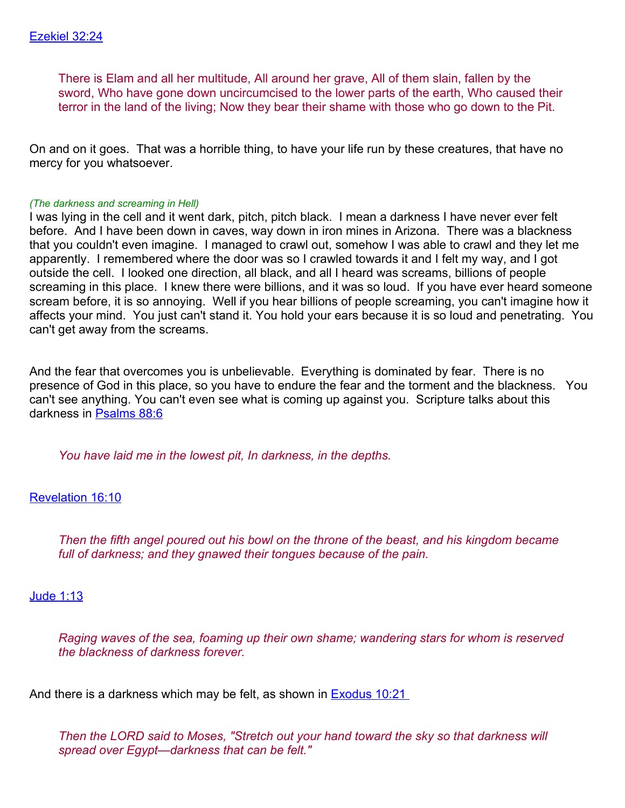There is Elam and all her multitude, All around her grave, All of them slain, fallen by the sword, Who have gone down uncircumcised to the lower parts of the earth, Who caused their terror in the land of the living; Now they bear their shame with those who go down to the Pit.

On and on it goes. That was a horrible thing, to have your life run by these creatures, that have no mercy for you whatsoever.

### *(The darkness and screaming in Hell)*

I was lying in the cell and it went dark, pitch, pitch black. I mean a darkness I have never ever felt before. And I have been down in caves, way down in iron mines in Arizona. There was a blackness that you couldn't even imagine. I managed to crawl out, somehow I was able to crawl and they let me apparently. I remembered where the door was so I crawled towards it and I felt my way, and I got outside the cell. I looked one direction, all black, and all I heard was screams, billions of people screaming in this place. I knew there were billions, and it was so loud. If you have ever heard someone scream before, it is so annoying. Well if you hear billions of people screaming, you can't imagine how it affects your mind. You just can't stand it. You hold your ears because it is so loud and penetrating. You can't get away from the screams.

And the fear that overcomes you is unbelievable. Everything is dominated by fear. There is no presence of God in this place, so you have to endure the fear and the torment and the blackness. You can't see anything. You can't even see what is coming up against you. Scripture talks about this darkness in [Psalms 88:6](http://www.biblegateway.com/passage/?search=Psalms 88:6;&version=50;)

*You have laid me in the lowest pit, In darkness, in the depths.*

# [Revelation](http://www.biblegateway.com/passage/?search=Revelation 16:10;&version=50;) 16:10

*Then the fifth angel poured out his bowl on the throne of the beast, and his kingdom became full of darkness; and they gnawed their tongues because of the pain.*

### [Jude](http://www.biblegateway.com/passage/?search=Jude 1:13;&version=50;) 1:13

*Raging waves of the sea, foaming up their own shame; wandering stars for whom is reserved the blackness of darkness forever.*

And there is a darkness which may be felt, as shown in **[Exodus 10:21](http://www.biblegateway.com/passage/?search=Exodus 10:21 ;&version=50;)** 

*Then the LORD said to Moses, "Stretch out your hand toward the sky so that darkness will spread over Egypt—darkness that can be felt."*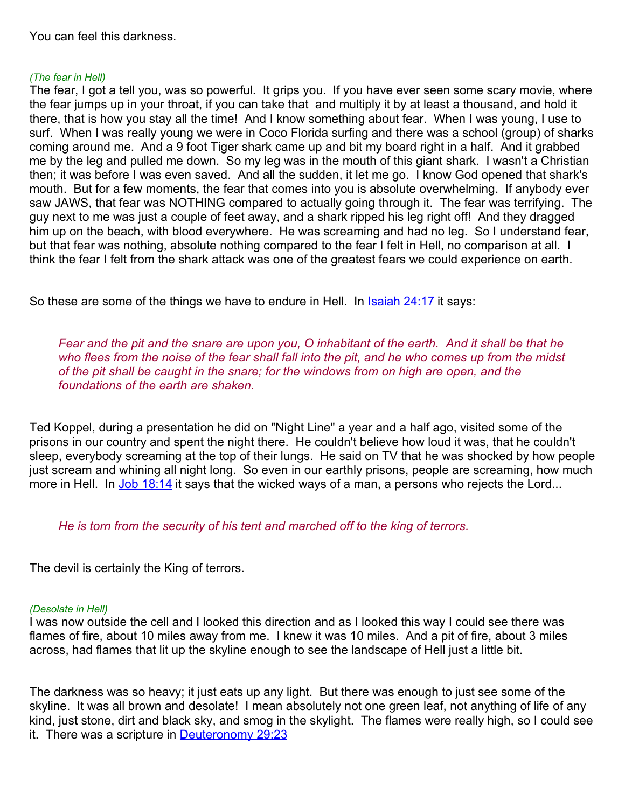You can feel this darkness.

#### *(The fear in Hell)*

The fear, I got a tell you, was so powerful. It grips you. If you have ever seen some scary movie, where the fear jumps up in your throat, if you can take that and multiply it by at least a thousand, and hold it there, that is how you stay all the time! And I know something about fear. When I was young, I use to surf. When I was really young we were in Coco Florida surfing and there was a school (group) of sharks coming around me. And a 9 foot Tiger shark came up and bit my board right in a half. And it grabbed me by the leg and pulled me down. So my leg was in the mouth of this giant shark. I wasn't a Christian then; it was before I was even saved. And all the sudden, it let me go. I know God opened that shark's mouth. But for a few moments, the fear that comes into you is absolute overwhelming. If anybody ever saw JAWS, that fear was NOTHING compared to actually going through it. The fear was terrifying. The guy next to me was just a couple of feet away, and a shark ripped his leg right off! And they dragged him up on the beach, with blood everywhere. He was screaming and had no leg. So I understand fear, but that fear was nothing, absolute nothing compared to the fear I felt in Hell, no comparison at all. I think the fear I felt from the shark attack was one of the greatest fears we could experience on earth.

So these are some of the things we have to endure in Hell. In [Isaiah](http://www.biblegateway.com/passage/?search=Isaiah 24:17;&version=50;) 24:17 it says:

Fear and the pit and the snare are upon you. O inhabitant of the earth. And it shall be that he *who flees from the noise of the fear shall fall into the pit, and he who comes up from the midst of the pit shall be caught in the snare; for the windows from on high are open, and the foundations of the earth are shaken.*

Ted Koppel, during a presentation he did on "Night Line" a year and a half ago, visited some of the prisons in our country and spent the night there. He couldn't believe how loud it was, that he couldn't sleep, everybody screaming at the top of their lungs. He said on TV that he was shocked by how people just scream and whining all night long. So even in our earthly prisons, people are screaming, how much more in Hell. In Job [18:14](http://www.biblegateway.com/passage/?search=Job 18:14;&version=50;) it says that the wicked ways of a man, a persons who rejects the Lord...

### *He is torn from the security of his tent and marched off to the king of terrors.*

The devil is certainly the King of terrors.

#### *(Desolate in Hell)*

I was now outside the cell and I looked this direction and as I looked this way I could see there was flames of fire, about 10 miles away from me. I knew it was 10 miles. And a pit of fire, about 3 miles across, had flames that lit up the skyline enough to see the landscape of Hell just a little bit.

The darkness was so heavy; it just eats up any light. But there was enough to just see some of the skyline. It was all brown and desolate! I mean absolutely not one green leaf, not anything of life of any kind, just stone, dirt and black sky, and smog in the skylight. The flames were really high, so I could see it. There was a scripture in **[Deuteronomy 29:23](http://www.biblegateway.com/passage/?search=Deuteronomy 29:23;&version=50;)**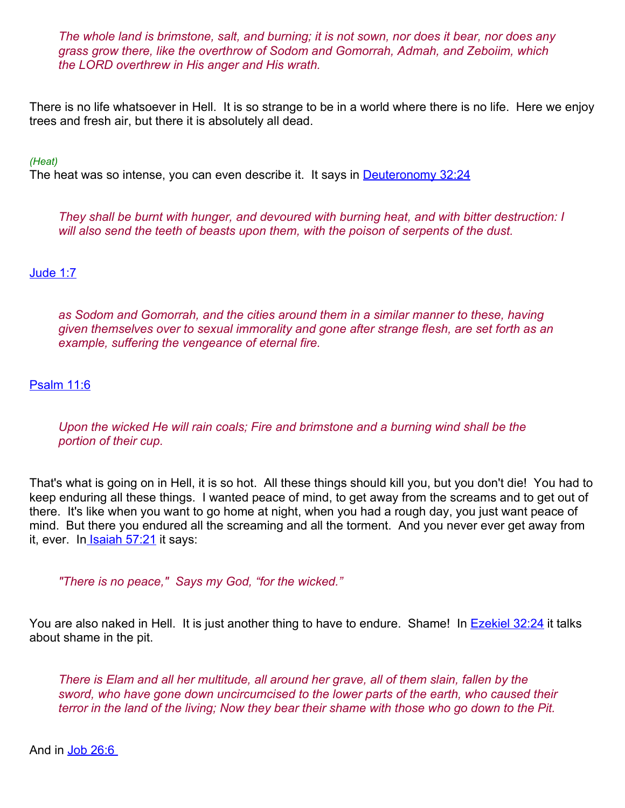*The whole land is brimstone, salt, and burning; it is not sown, nor does it bear, nor does any grass grow there, like the overthrow of Sodom and Gomorrah, Admah, and Zeboiim, which the LORD overthrew in His anger and His wrath.*

There is no life whatsoever in Hell. It is so strange to be in a world where there is no life. Here we enjoy trees and fresh air, but there it is absolutely all dead.

### *(Heat)*

The heat was so intense, you can even describe it. It says in [Deuteronomy 32:24](http://www.biblegateway.com/passage/?search=Deuteronomy 32:24;&version=9;)

*They shall be burnt with hunger, and devoured with burning heat, and with bitter destruction: I will also send the teeth of beasts upon them, with the poison of serpents of the dust.*

## [Jude](http://www.biblegateway.com/passage/?search=Jude 1:7;&version=50;) 1:7

*as Sodom and Gomorrah, and the cities around them in a similar manner to these, having given themselves over to sexual immorality and gone after strange flesh, are set forth as an example, suffering the vengeance of eternal fire.*

## [Psalm 11:6](http://www.biblegateway.com/passage/?search=Psalm 11:6;&version=50;)

*Upon the wicked He will rain coals; Fire and brimstone and a burning wind shall be the portion of their cup.*

That's what is going on in Hell, it is so hot. All these things should kill you, but you don't die! You had to keep enduring all these things. I wanted peace of mind, to get away from the screams and to get out of there. It's like when you want to go home at night, when you had a rough day, you just want peace of mind. But there you endured all the screaming and all the torment. And you never ever get away from it, ever. In Isaiah [57:21](http://www.biblegateway.com/passage/?search=Isaiah 57:21;&version=50;) it says:

*"There is no peace," Says my God, "for the wicked."*

You are also naked in Hell. It is just another thing to have to endure. Shame! In **[Ezekiel](http://www.biblegateway.com/passage/?search=Ezekiel 32:24;&version=50;) 32:24** it talks about shame in the pit.

*There is Elam and all her multitude, all around her grave, all of them slain, fallen by the sword, who have gone down uncircumcised to the lower parts of the earth, who caused their terror in the land of the living; Now they bear their shame with those who go down to the Pit.*

And in Job [26:6](http://www.biblegateway.com/passage/?search=Job 26:6 ;&version=50;)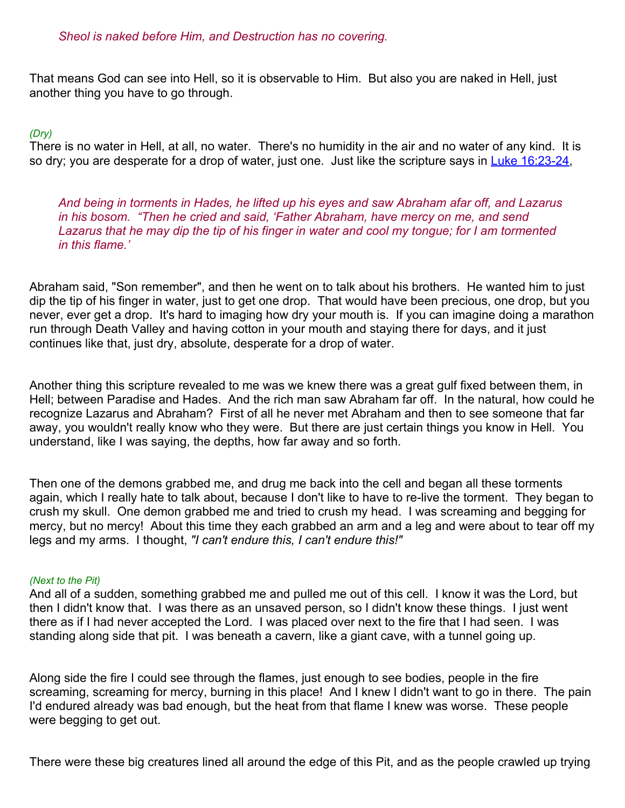That means God can see into Hell, so it is observable to Him. But also you are naked in Hell, just another thing you have to go through.

## *(Dry)*

There is no water in Hell, at all, no water. There's no humidity in the air and no water of any kind. It is so dry; you are desperate for a drop of water, just one. Just like the scripture says in Luke [16:23-24,](http://www.biblegateway.com/passage/?search=Luke 16:23-24;&version=50;)

*And being in torments in Hades, he lifted up his eyes and saw Abraham afar off, and Lazarus in his bosom. "Then he cried and said, 'Father Abraham, have mercy on me, and send Lazarus that he may dip the tip of his finger in water and cool my tongue; for I am tormented in this flame.'*

Abraham said, "Son remember", and then he went on to talk about his brothers. He wanted him to just dip the tip of his finger in water, just to get one drop. That would have been precious, one drop, but you never, ever get a drop. It's hard to imaging how dry your mouth is. If you can imagine doing a marathon run through Death Valley and having cotton in your mouth and staying there for days, and it just continues like that, just dry, absolute, desperate for a drop of water.

Another thing this scripture revealed to me was we knew there was a great gulf fixed between them, in Hell; between Paradise and Hades. And the rich man saw Abraham far off. In the natural, how could he recognize Lazarus and Abraham? First of all he never met Abraham and then to see someone that far away, you wouldn't really know who they were. But there are just certain things you know in Hell. You understand, like I was saying, the depths, how far away and so forth.

Then one of the demons grabbed me, and drug me back into the cell and began all these torments again, which I really hate to talk about, because I don't like to have to re-live the torment. They began to crush my skull. One demon grabbed me and tried to crush my head. I was screaming and begging for mercy, but no mercy! About this time they each grabbed an arm and a leg and were about to tear off my legs and my arms. I thought, *"I can't endure this, I can't endure this!"*

### *(Next to the Pit)*

And all of a sudden, something grabbed me and pulled me out of this cell. I know it was the Lord, but then I didn't know that. I was there as an unsaved person, so I didn't know these things. I just went there as if I had never accepted the Lord. I was placed over next to the fire that I had seen. I was standing along side that pit. I was beneath a cavern, like a giant cave, with a tunnel going up.

Along side the fire I could see through the flames, just enough to see bodies, people in the fire screaming, screaming for mercy, burning in this place! And I knew I didn't want to go in there. The pain I'd endured already was bad enough, but the heat from that flame I knew was worse. These people were begging to get out.

There were these big creatures lined all around the edge of this Pit, and as the people crawled up trying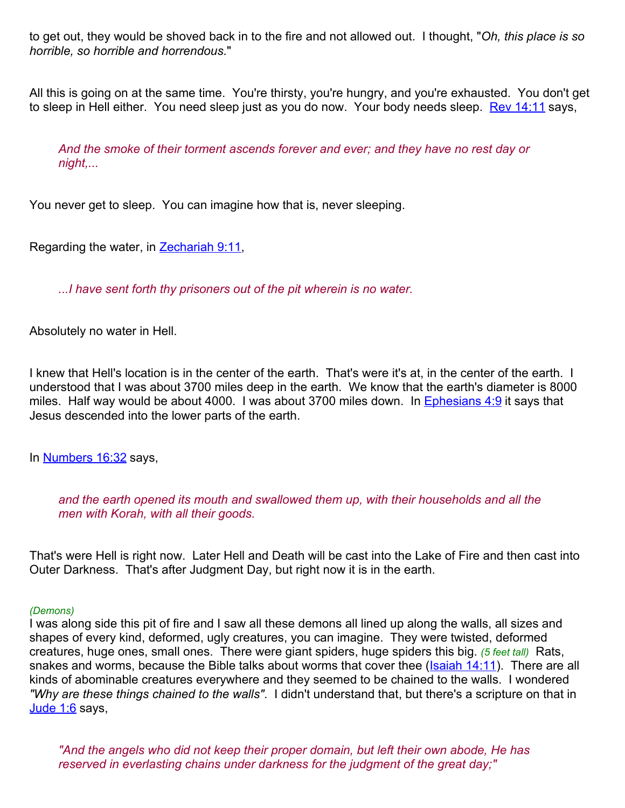to get out, they would be shoved back in to the fire and not allowed out. I thought, "*Oh, this place is so horrible, so horrible and horrendous.*"

All this is going on at the same time. You're thirsty, you're hungry, and you're exhausted. You don't get to sleep in Hell either. You need sleep just as you do now. Your body needs sleep. [Rev 14:11](http://www.biblegateway.com/passage/?search=Rev 14:11;&version=50;) says,

*And the smoke of their torment ascends forever and ever; and they have no rest day or night,...*

You never get to sleep. You can imagine how that is, never sleeping.

Regarding the water, in [Zechariah](http://www.biblegateway.com/passage/?search=Zechariah 9:11;&version=9;) 9:11,

*...I have sent forth thy prisoners out of the pit wherein is no water.*

Absolutely no water in Hell.

I knew that Hell's location is in the center of the earth. That's were it's at, in the center of the earth. I understood that I was about 3700 miles deep in the earth. We know that the earth's diameter is 8000 miles. Half way would be about 4000. I was about 3700 miles down. In [Ephesians 4:9](http://www.biblegateway.com/passage/?search=Ephesians 4:9;&version=31;) it says that Jesus descended into the lower parts of the earth.

In [Numbers 16:32](http://www.biblegateway.com/passage/?search=Numbers 16:32;&version=50;) says,

*and the earth opened its mouth and swallowed them up, with their households and all the men with Korah, with all their goods.*

That's were Hell is right now. Later Hell and Death will be cast into the Lake of Fire and then cast into Outer Darkness. That's after Judgment Day, but right now it is in the earth.

#### *(Demons)*

I was along side this pit of fire and I saw all these demons all lined up along the walls, all sizes and shapes of every kind, deformed, ugly creatures, you can imagine. They were twisted, deformed creatures, huge ones, small ones. There were giant spiders, huge spiders this big. *(5 feet tall)* Rats, snakes and worms, because the Bible talks about worms that cover thee (*Isaiah 14:11*). There are all kinds of abominable creatures everywhere and they seemed to be chained to the walls. I wondered *"Why are these things chained to the walls"*. I didn't understand that, but there's a scripture on that in [Jude](http://www.biblegateway.com/passage/?search=Jude 1:6;&version=50;) 1:6 says,

*"And the angels who did not keep their proper domain, but left their own abode, He has reserved in everlasting chains under darkness for the judgment of the great day;"*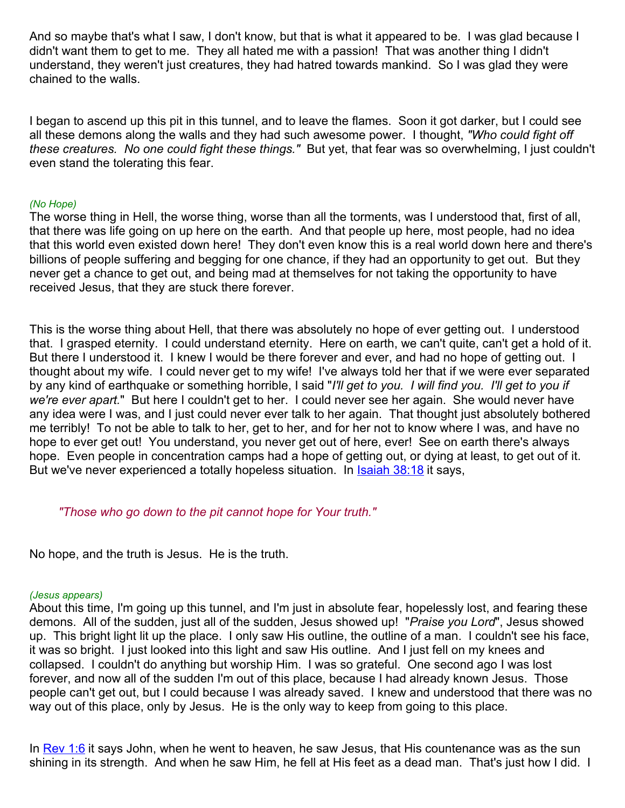And so maybe that's what I saw, I don't know, but that is what it appeared to be. I was glad because I didn't want them to get to me. They all hated me with a passion! That was another thing I didn't understand, they weren't just creatures, they had hatred towards mankind. So I was glad they were chained to the walls.

I began to ascend up this pit in this tunnel, and to leave the flames. Soon it got darker, but I could see all these demons along the walls and they had such awesome power. I thought, *"Who could fight off these creatures. No one could fight these things."* But yet, that fear was so overwhelming, I just couldn't even stand the tolerating this fear.

### *(No Hope)*

The worse thing in Hell, the worse thing, worse than all the torments, was I understood that, first of all, that there was life going on up here on the earth. And that people up here, most people, had no idea that this world even existed down here! They don't even know this is a real world down here and there's billions of people suffering and begging for one chance, if they had an opportunity to get out. But they never get a chance to get out, and being mad at themselves for not taking the opportunity to have received Jesus, that they are stuck there forever.

This is the worse thing about Hell, that there was absolutely no hope of ever getting out. I understood that. I grasped eternity. I could understand eternity. Here on earth, we can't quite, can't get a hold of it. But there I understood it. I knew I would be there forever and ever, and had no hope of getting out. I thought about my wife. I could never get to my wife! I've always told her that if we were ever separated by any kind of earthquake or something horrible, I said "*I'll get to you. I will find you. I'll get to you if we're ever apart.*" But here I couldn't get to her. I could never see her again. She would never have any idea were I was, and I just could never ever talk to her again. That thought just absolutely bothered me terribly! To not be able to talk to her, get to her, and for her not to know where I was, and have no hope to ever get out! You understand, you never get out of here, ever! See on earth there's always hope. Even people in concentration camps had a hope of getting out, or dying at least, to get out of it. But we've never experienced a totally hopeless situation. In **[Isaiah](http://www.biblegateway.com/passage/?search=Isaiah 38:18;&version=50;) 38:18** it says,

*"Those who go down to the pit cannot hope for Your truth."*

No hope, and the truth is Jesus. He is the truth.

#### *(Jesus appears)*

About this time, I'm going up this tunnel, and I'm just in absolute fear, hopelessly lost, and fearing these demons. All of the sudden, just all of the sudden, Jesus showed up! "*Praise you Lord*", Jesus showed up. This bright light lit up the place. I only saw His outline, the outline of a man. I couldn't see his face, it was so bright. I just looked into this light and saw His outline. And I just fell on my knees and collapsed. I couldn't do anything but worship Him. I was so grateful. One second ago I was lost forever, and now all of the sudden I'm out of this place, because I had already known Jesus. Those people can't get out, but I could because I was already saved. I knew and understood that there was no way out of this place, only by Jesus. He is the only way to keep from going to this place.

In [Rev 1:6](http://www.biblegateway.com/passage/?search=Rev 1:16;&version=50;) it says John, when he went to heaven, he saw Jesus, that His countenance was as the sun shining in its strength. And when he saw Him, he fell at His feet as a dead man. That's just how I did. I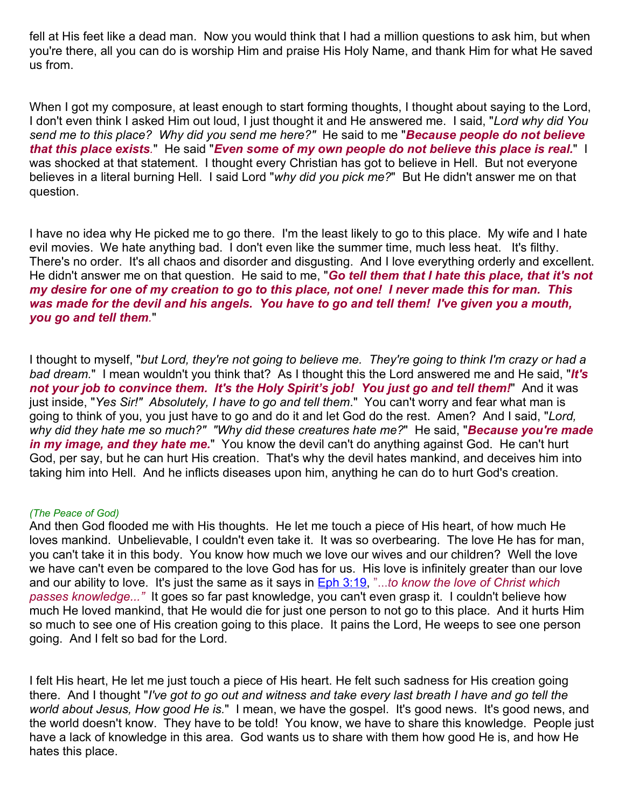fell at His feet like a dead man. Now you would think that I had a million questions to ask him, but when you're there, all you can do is worship Him and praise His Holy Name, and thank Him for what He saved us from.

When I got my composure, at least enough to start forming thoughts, I thought about saying to the Lord, I don't even think I asked Him out loud, I just thought it and He answered me. I said, "*Lord why did You send me to this place? Why did you send me here?"* He said to me "*Because people do not believe that this place exists.*" He said "*Even some of my own people do not believe this place is real.*" I was shocked at that statement. I thought every Christian has got to believe in Hell. But not everyone believes in a literal burning Hell. I said Lord "*why did you pick me?*" But He didn't answer me on that question.

I have no idea why He picked me to go there. I'm the least likely to go to this place. My wife and I hate evil movies. We hate anything bad. I don't even like the summer time, much less heat. It's filthy. There's no order. It's all chaos and disorder and disgusting. And I love everything orderly and excellent. He didn't answer me on that question. He said to me, "*Go tell them that I hate this place, that it's not my desire for one of my creation to go to this place, not one! I never made this for man. This* was made for the devil and his angels. You have to go and tell them! I've given you a mouth, *you go and tell them.*"

I thought to myself, "*but Lord, they're not going to believe me. They're going to think I'm crazy or had a bad dream.*" I mean wouldn't you think that? As I thought this the Lord answered me and He said, "*It's not your job to convince them. It's the Holy Spirit's job! You just go and tell them!*" And it was just inside, "*Yes Sir!" Absolutely, I have to go and tell them*." You can't worry and fear what man is going to think of you, you just have to go and do it and let God do the rest. Amen? And I said, "*Lord, why did they hate me so much?" "Why did these creatures hate me?*" He said, "*Because you're made in my image, and they hate me.*" You know the devil can't do anything against God. He can't hurt God, per say, but he can hurt His creation. That's why the devil hates mankind, and deceives him into taking him into Hell. And he inflicts diseases upon him, anything he can do to hurt God's creation.

### *(The Peace of God)*

And then God flooded me with His thoughts. He let me touch a piece of His heart, of how much He loves mankind. Unbelievable, I couldn't even take it. It was so overbearing. The love He has for man, you can't take it in this body. You know how much we love our wives and our children? Well the love we have can't even be compared to the love God has for us. His love is infinitely greater than our love and our ability to love. It's just the same as it says in Eph [3:19](http://www.biblegateway.com/passage/?search=Eph 3:19;&version=50;), "...*to know the love of Christ which passes knowledge..."* It goes so far past knowledge, you can't even grasp it. I couldn't believe how much He loved mankind, that He would die for just one person to not go to this place. And it hurts Him so much to see one of His creation going to this place. It pains the Lord, He weeps to see one person going. And I felt so bad for the Lord.

I felt His heart, He let me just touch a piece of His heart. He felt such sadness for His creation going there. And I thought "*I've got to go out and witness and take every last breath I have and go tell the world about Jesus, How good He is.*" I mean, we have the gospel. It's good news. It's good news, and the world doesn't know. They have to be told! You know, we have to share this knowledge. People just have a lack of knowledge in this area. God wants us to share with them how good He is, and how He hates this place.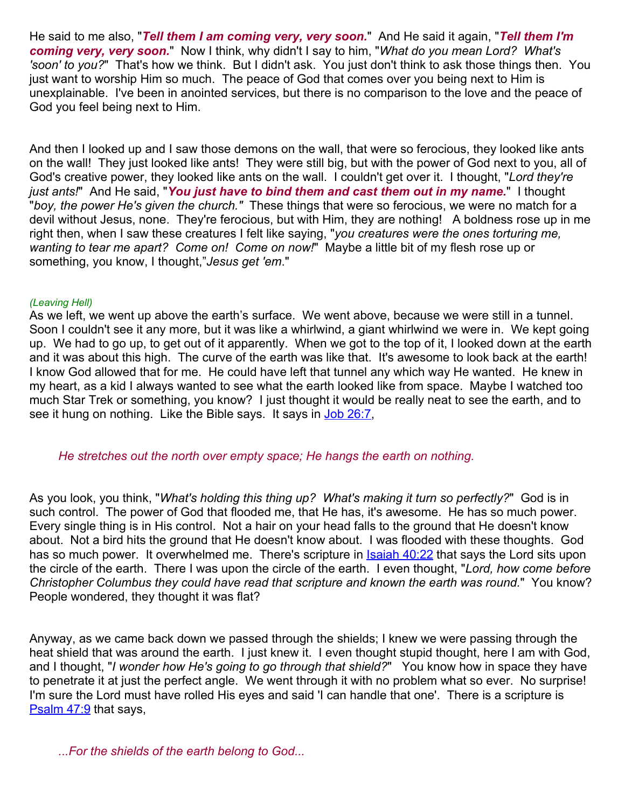He said to me also, "*Tell them I am coming very, very soon.*" And He said it again, "*Tell them I'm coming very, very soon.*" Now I think, why didn't I say to him, "*What do you mean Lord? What's 'soon' to you?*" That's how we think. But I didn't ask. You just don't think to ask those things then. You just want to worship Him so much. The peace of God that comes over you being next to Him is unexplainable. I've been in anointed services, but there is no comparison to the love and the peace of God you feel being next to Him.

And then I looked up and I saw those demons on the wall, that were so ferocious, they looked like ants on the wall! They just looked like ants! They were still big, but with the power of God next to you, all of God's creative power, they looked like ants on the wall. I couldn't get over it. I thought, "*Lord they're just ants!*" And He said, "*You just have to bind them and cast them out in my name.*" I thought "*boy, the power He's given the church."* These things that were so ferocious, we were no match for a devil without Jesus, none. They're ferocious, but with Him, they are nothing! A boldness rose up in me right then, when I saw these creatures I felt like saying, "*you creatures were the ones torturing me, wanting to tear me apart? Come on! Come on now!*" Maybe a little bit of my flesh rose up or something, you know, I thought,"*Jesus get 'em*."

### *(Leaving Hell)*

As we left, we went up above the earth's surface. We went above, because we were still in a tunnel. Soon I couldn't see it any more, but it was like a whirlwind, a giant whirlwind we were in. We kept going up. We had to go up, to get out of it apparently. When we got to the top of it, I looked down at the earth and it was about this high. The curve of the earth was like that. It's awesome to look back at the earth! I know God allowed that for me. He could have left that tunnel any which way He wanted. He knew in my heart, as a kid I always wanted to see what the earth looked like from space. Maybe I watched too much Star Trek or something, you know? I just thought it would be really neat to see the earth, and to see it hung on nothing. Like the Bible says. It says in Job [26:7,](http://www.google.com/search?num=50&hl=en&lr=lang_en&safe=active&q=newborn+bean+diet&lr=lang_en)

# *He stretches out the north over empty space; He hangs the earth on nothing.*

As you look, you think, "*What's holding this thing up? What's making it turn so perfectly?*" God is in such control. The power of God that flooded me, that He has, it's awesome. He has so much power. Every single thing is in His control. Not a hair on your head falls to the ground that He doesn't know about. Not a bird hits the ground that He doesn't know about. I was flooded with these thoughts. God has so much power. It overwhelmed me. There's scripture in **[Isaiah](http://www.biblegateway.com/passage/?search=Isaiah 40:22;&version=50;) 40:22** that says the Lord sits upon the circle of the earth. There I was upon the circle of the earth. I even thought, "*Lord, how come before Christopher Columbus they could have read that scripture and known the earth was round.*" You know? People wondered, they thought it was flat?

Anyway, as we came back down we passed through the shields; I knew we were passing through the heat shield that was around the earth. I just knew it. I even thought stupid thought, here I am with God, and I thought, "*I wonder how He's going to go through that shield?*" You know how in space they have to penetrate it at just the perfect angle. We went through it with no problem what so ever. No surprise! I'm sure the Lord must have rolled His eyes and said 'I can handle that one'. There is a scripture is [Psalm 47:9](http://www.biblegateway.com/passage/?search=Psalm 47:9;&version=50;) that says,

*...For the shields of the earth belong to God...*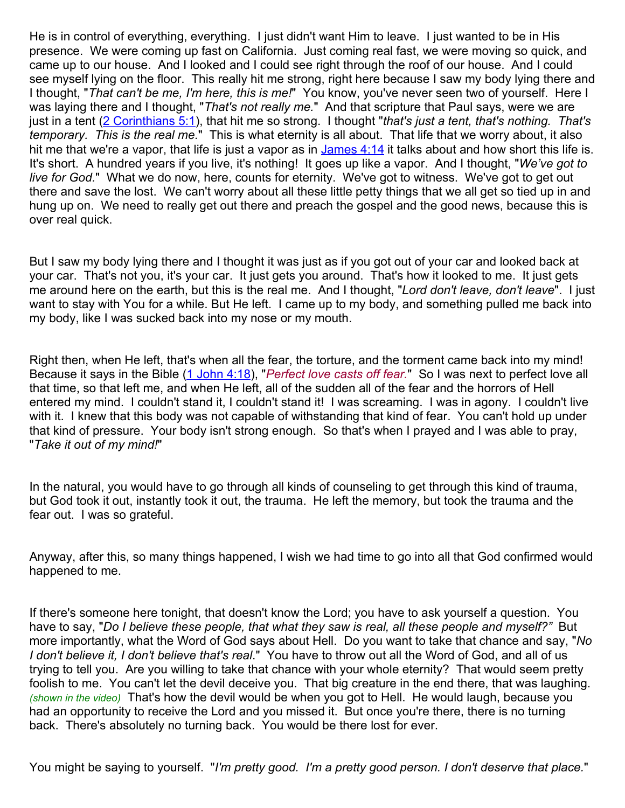He is in control of everything, everything. I just didn't want Him to leave. I just wanted to be in His presence. We were coming up fast on California. Just coming real fast, we were moving so quick, and came up to our house. And I looked and I could see right through the roof of our house. And I could see myself lying on the floor. This really hit me strong, right here because I saw my body lying there and I thought, "*That can't be me, I'm here, this is me!*" You know, you've never seen two of yourself. Here I was laying there and I thought, "*That's not really me.*" And that scripture that Paul says, were we are just in a tent (2 [Corinthians 5:1\)](http://www.biblegateway.com/passage/?search=2 Corinthians 5:1;&version=50;), that hit me so strong. I thought "*that's just a tent, that's nothing. That's temporary. This is the real me.*" This is what eternity is all about. That life that we worry about, it also hit me that we're a vapor, that life is just a vapor as in  $James 4:14$  it talks about and how short this life is. It's short. A hundred years if you live, it's nothing! It goes up like a vapor. And I thought, "*We've got to live for God.*" What we do now, here, counts for eternity. We've got to witness. We've got to get out there and save the lost. We can't worry about all these little petty things that we all get so tied up in and hung up on. We need to really get out there and preach the gospel and the good news, because this is over real quick.

But I saw my body lying there and I thought it was just as if you got out of your car and looked back at your car. That's not you, it's your car. It just gets you around. That's how it looked to me. It just gets me around here on the earth, but this is the real me. And I thought, "*Lord don't leave, don't leave*". I just want to stay with You for a while. But He left. I came up to my body, and something pulled me back into my body, like I was sucked back into my nose or my mouth.

Right then, when He left, that's when all the fear, the torture, and the torment came back into my mind! Because it says in the Bible (1 [John](http://www.biblegateway.com/passage/?search=1 John 4:18;&version=50;) 4:18), "*Perfect love casts off fear.*" So I was next to perfect love all that time, so that left me, and when He left, all of the sudden all of the fear and the horrors of Hell entered my mind. I couldn't stand it, I couldn't stand it! I was screaming. I was in agony. I couldn't live with it. I knew that this body was not capable of withstanding that kind of fear. You can't hold up under that kind of pressure. Your body isn't strong enough. So that's when I prayed and I was able to pray, "*Take it out of my mind!*"

In the natural, you would have to go through all kinds of counseling to get through this kind of trauma, but God took it out, instantly took it out, the trauma. He left the memory, but took the trauma and the fear out. I was so grateful.

Anyway, after this, so many things happened, I wish we had time to go into all that God confirmed would happened to me.

If there's someone here tonight, that doesn't know the Lord; you have to ask yourself a question. You have to say, "*Do I believe these people, that what they saw is real, all these people and myself?"* But more importantly, what the Word of God says about Hell. Do you want to take that chance and say, "*No I don't believe it, I don't believe that's real*." You have to throw out all the Word of God, and all of us trying to tell you. Are you willing to take that chance with your whole eternity? That would seem pretty foolish to me. You can't let the devil deceive you. That big creature in the end there, that was laughing. *(shown in the video)* That's how the devil would be when you got to Hell. He would laugh, because you had an opportunity to receive the Lord and you missed it. But once you're there, there is no turning back. There's absolutely no turning back. You would be there lost for ever.

You might be saying to yourself. "*I'm pretty good. I'm a pretty good person. I don't deserve that place.*"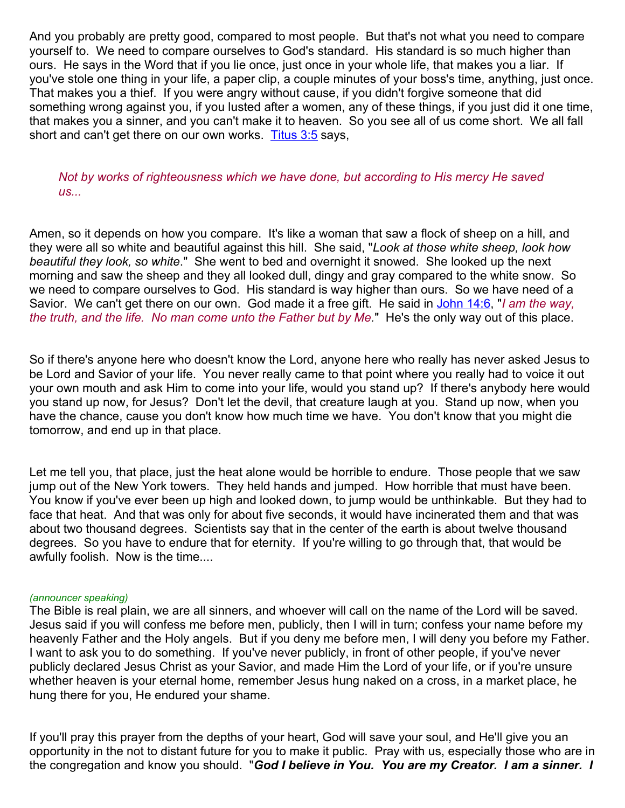And you probably are pretty good, compared to most people. But that's not what you need to compare yourself to. We need to compare ourselves to God's standard. His standard is so much higher than ours. He says in the Word that if you lie once, just once in your whole life, that makes you a liar. If you've stole one thing in your life, a paper clip, a couple minutes of your boss's time, anything, just once. That makes you a thief. If you were angry without cause, if you didn't forgive someone that did something wrong against you, if you lusted after a women, any of these things, if you just did it one time, that makes you a sinner, and you can't make it to heaven. So you see all of us come short. We all fall short and can't get there on our own works. [Titus 3:5](http://www.biblegateway.com/passage/?search=Titus 3:5;&version=50;) says,

*Not by works of righteousness which we have done, but according to His mercy He saved us...*

Amen, so it depends on how you compare. It's like a woman that saw a flock of sheep on a hill, and they were all so white and beautiful against this hill. She said, "*Look at those white sheep, look how beautiful they look, so white*." She went to bed and overnight it snowed. She looked up the next morning and saw the sheep and they all looked dull, dingy and gray compared to the white snow. So we need to compare ourselves to God. His standard is way higher than ours. So we have need of a Savior. We can't get there on our own. God made it a free gift. He said in [John](http://www.biblegateway.com/passage/?search=John 14:6;&version=50;) 14:6, "*I am the way, the truth, and the life. No man come unto the Father but by Me.*" He's the only way out of this place.

So if there's anyone here who doesn't know the Lord, anyone here who really has never asked Jesus to be Lord and Savior of your life. You never really came to that point where you really had to voice it out your own mouth and ask Him to come into your life, would you stand up? If there's anybody here would you stand up now, for Jesus? Don't let the devil, that creature laugh at you. Stand up now, when you have the chance, cause you don't know how much time we have. You don't know that you might die tomorrow, and end up in that place.

Let me tell you, that place, just the heat alone would be horrible to endure. Those people that we saw jump out of the New York towers. They held hands and jumped. How horrible that must have been. You know if you've ever been up high and looked down, to jump would be unthinkable. But they had to face that heat. And that was only for about five seconds, it would have incinerated them and that was about two thousand degrees. Scientists say that in the center of the earth is about twelve thousand degrees. So you have to endure that for eternity. If you're willing to go through that, that would be awfully foolish. Now is the time....

### *(announcer speaking)*

The Bible is real plain, we are all sinners, and whoever will call on the name of the Lord will be saved. Jesus said if you will confess me before men, publicly, then I will in turn; confess your name before my heavenly Father and the Holy angels. But if you deny me before men, I will deny you before my Father. I want to ask you to do something. If you've never publicly, in front of other people, if you've never publicly declared Jesus Christ as your Savior, and made Him the Lord of your life, or if you're unsure whether heaven is your eternal home, remember Jesus hung naked on a cross, in a market place, he hung there for you, He endured your shame.

If you'll pray this prayer from the depths of your heart, God will save your soul, and He'll give you an opportunity in the not to distant future for you to make it public. Pray with us, especially those who are in the congregation and know you should. "*God I believe in You. You are my Creator. I am a sinner. I*